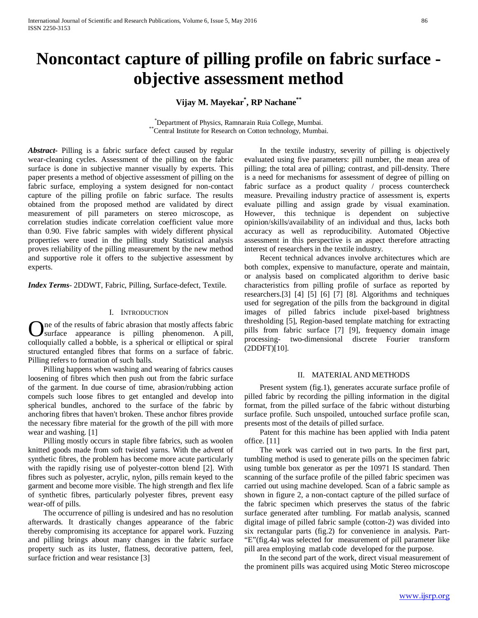# **Noncontact capture of pilling profile on fabric surface objective assessment method**

**Vijay M. Mayekar\* , RP Nachane\*\***

\*Department of Physics, Ramnarain Ruia College, Mumbai. \*\*Central Institute for Research on Cotton technology, Mumbai.

*Abstract***-** Pilling is a fabric surface defect caused by regular wear-cleaning cycles. Assessment of the pilling on the fabric surface is done in subjective manner visually by experts. This paper presents a method of objective assessment of pilling on the fabric surface, employing a system designed for non-contact capture of the pilling profile on fabric surface. The results obtained from the proposed method are validated by direct measurement of pill parameters on stereo microscope, as correlation studies indicate correlation coefficient value more than 0.90. Five fabric samples with widely different physical properties were used in the pilling study Statistical analysis proves reliability of the pilling measurement by the new method and supportive role it offers to the subjective assessment by experts.

*Index Terms*- 2DDWT, Fabric, Pilling, Surface-defect, Textile.

#### I. INTRODUCTION

ne of the results of fabric abrasion that mostly affects fabric surface appearance is pilling phenomenon. A pill, **C** are of the results of fabric abrasion that mostly affects fabric surface appearance is pilling phenomenon. A pill, colloquially called a bobble, is a spherical or elliptical or spiral structured entangled fibres that forms on a surface of fabric. Pilling refers to formation of such balls.

 Pilling happens when washing and wearing of fabrics causes loosening of fibres which then push out from the fabric surface of the garment. In due course of time, abrasion/rubbing action compels such loose fibres to get entangled and develop into spherical bundles, anchored to the surface of the fabric by anchoring fibres that haven't broken. These anchor fibres provide the necessary fibre material for the growth of the pill with more wear and washing. [1]

 Pilling mostly occurs in staple fibre fabrics, such as woolen knitted goods made from soft twisted yarns. With the advent of synthetic fibres, the problem has become more acute particularly with the rapidly rising use of polyester-cotton blend [2]. With fibres such as polyester, acrylic, nylon, pills remain keyed to the garment and become more visible. The high strength and flex life of synthetic fibres, particularly polyester fibres, prevent easy wear-off of pills.

 The occurrence of pilling is undesired and has no resolution afterwards. It drastically changes appearance of the fabric thereby compromising its acceptance for apparel work. Fuzzing and pilling brings about many changes in the fabric surface property such as its luster, flatness, decorative pattern, feel, surface friction and wear resistance [3]

 In the textile industry, severity of pilling is objectively evaluated using five parameters: pill number, the mean area of pilling; the total area of pilling; contrast, and pill-density. There is a need for mechanisms for assessment of degree of pilling on fabric surface as a product quality / process countercheck measure. Prevailing industry practice of assessment is, experts evaluate pilling and assign grade by visual examination. However, this technique is dependent on subjective opinion/skills/availability of an individual and thus, lacks both accuracy as well as reproducibility. Automated Objective assessment in this perspective is an aspect therefore attracting interest of researchers in the textile industry.

 Recent technical advances involve architectures which are both complex, expensive to manufacture, operate and maintain, or analysis based on complicated algorithm to derive basic characteristics from pilling profile of surface as reported by researchers.[3] [4] [5] [6] [7] [8]. Algorithms and techniques used for segregation of the pills from the background in digital images of pilled fabrics include pixel-based brightness thresholding [5], Region-based template matching for extracting pills from fabric surface [7] [9], frequency domain image processing- two-dimensional discrete Fourier transform (2DDFT)[10].

## II. MATERIAL AND METHODS

 Present system (fig.1), generates accurate surface profile of pilled fabric by recording the pilling information in the digital format, from the pilled surface of the fabric without disturbing surface profile. Such unspoiled, untouched surface profile scan, presents most of the details of pilled surface.

 Patent for this machine has been applied with India patent office. [11]

 The work was carried out in two parts. In the first part, tumbling method is used to generate pills on the specimen fabric using tumble box generator as per the 10971 IS standard. Then scanning of the surface profile of the pilled fabric specimen was carried out using machine developed. Scan of a fabric sample as shown in figure 2, a non-contact capture of the pilled surface of the fabric specimen which preserves the status of the fabric surface generated after tumbling. For matlab analysis, scanned digital image of pilled fabric sample (cotton-2) was divided into six rectangular parts (fig.2) for convenience in analysis. Part- "E"(fig.4a) was selected for measurement of pill parameter like pill area employing matlab code developed for the purpose.

 In the second part of the work, direct visual measurement of the prominent pills was acquired using Motic Stereo microscope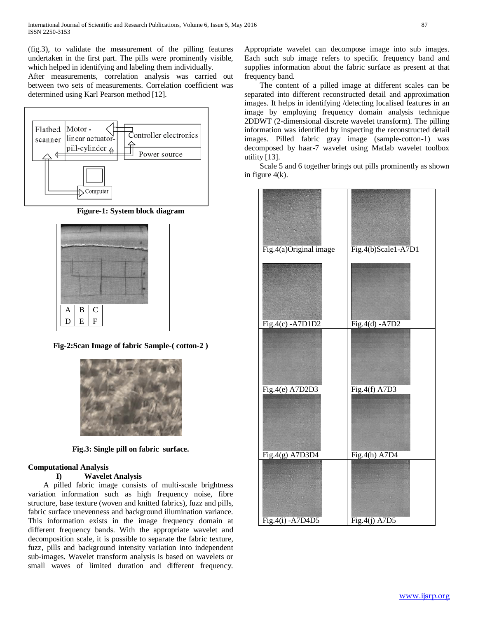(fig.3), to validate the measurement of the pilling features undertaken in the first part. The pills were prominently visible, which helped in identifying and labeling them individually.

After measurements, correlation analysis was carried out between two sets of measurements. Correlation coefficient was determined using Karl Pearson method [12].



**Figure-1: System block diagram**



**Fig-2:Scan Image of fabric Sample-( cotton-2 )**



**Fig.3: Single pill on fabric surface.**

# **Computational Analysis**

## **I) Wavelet Analysis**

 A pilled fabric image consists of multi-scale brightness variation information such as high frequency noise, fibre structure, base texture (woven and knitted fabrics), fuzz and pills, fabric surface unevenness and background illumination variance. This information exists in the image frequency domain at different frequency bands. With the appropriate wavelet and decomposition scale, it is possible to separate the fabric texture, fuzz, pills and background intensity variation into independent sub-images. Wavelet transform analysis is based on wavelets or small waves of limited duration and different frequency. Appropriate wavelet can decompose image into sub images. Each such sub image refers to specific frequency band and supplies information about the fabric surface as present at that frequency band.

 The content of a pilled image at different scales can be separated into different reconstructed detail and approximation images. It helps in identifying /detecting localised features in an image by employing frequency domain analysis technique 2DDWT (2-dimensional discrete wavelet transform). The pilling information was identified by inspecting the reconstructed detail images. Pilled fabric gray image (sample-cotton-1) was decomposed by haar-7 wavelet using Matlab wavelet toolbox utility [13].

 Scale 5 and 6 together brings out pills prominently as shown in figure 4(k).

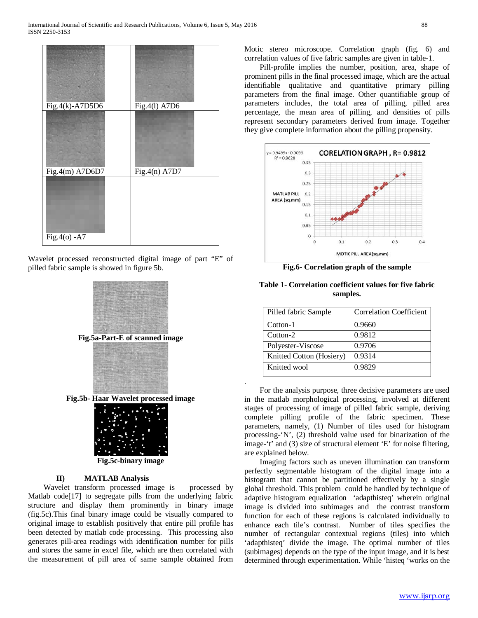

Wavelet processed reconstructed digital image of part "E" of pilled fabric sample is showed in figure 5b.



**Fig.5b- Haar Wavelet processed image**



**Fig.5c-binary image**

## **II) MATLAB Analysis**

Wavelet transform processed image is processed by Matlab code<sup>[17]</sup> to segregate pills from the underlying fabric structure and display them prominently in binary image (fig.5c).This final binary image could be visually compared to original image to establish positively that entire pill profile has been detected by matlab code processing. This processing also generates pill-area readings with identification number for pills and stores the same in excel file, which are then correlated with the measurement of pill area of same sample obtained from Motic stereo microscope. Correlation graph (fig. 6) and correlation values of five fabric samples are given in table-1.

 Pill-profile implies the number, position, area, shape of prominent pills in the final processed image, which are the actual identifiable qualitative and quantitative primary pilling parameters from the final image. Other quantifiable group of parameters includes, the total area of pilling, pilled area percentage, the mean area of pilling, and densities of pills represent secondary parameters derived from image. Together they give complete information about the pilling propensity.



**Fig.6- Correlation graph of the sample**

| Pilled fabric Sample     | <b>Correlation Coefficient</b> |
|--------------------------|--------------------------------|
| Cotton-1                 | 0.9660                         |
| Cotton-2                 | 0.9812                         |
| Polyester-Viscose        | 0.9706                         |
| Knitted Cotton (Hosiery) | 0.9314                         |
| Knitted wool             | 0.9829                         |

.

**Table 1- Correlation coefficient values for five fabric samples.**

 For the analysis purpose, three decisive parameters are used in the matlab morphological processing, involved at different stages of processing of image of pilled fabric sample, deriving complete pilling profile of the fabric specimen. These parameters, namely, (1) Number of tiles used for histogram processing-'N', (2) threshold value used for binarization of the image-'t' and (3) size of structural element 'E' for noise filtering, are explained below.

 Imaging factors such as uneven illumination can transform perfectly segmentable histogram of the digital image into a histogram that cannot be partitioned effectively by a single global threshold. This problem could be handled by technique of adaptive histogram equalization 'adapthisteq' wherein original image is divided into subimages and the contrast transform function for each of these regions is calculated individually to enhance each tile's contrast. Number of tiles specifies the number of rectangular contextual regions (tiles) into which 'adapthisteq' divide the image. The optimal number of tiles (subimages) depends on the type of the input image, and it is best determined through experimentation. While 'histeq 'works on the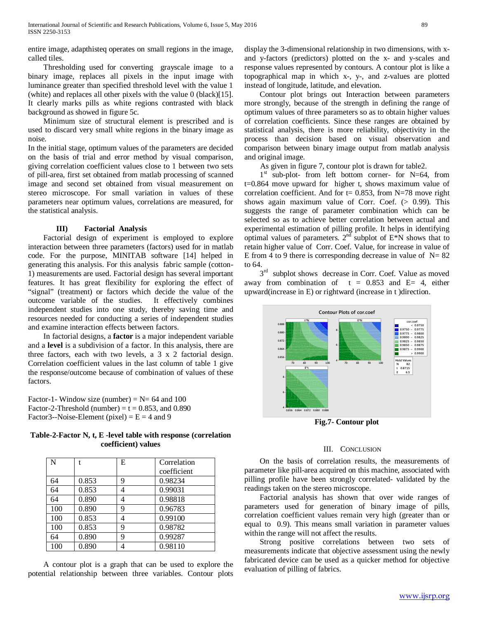entire image, adapthisteq operates on small regions in the image, called tiles.

 Thresholding used for converting grayscale image to a binary image, replaces all pixels in the input image with luminance greater than specified threshold level with the value 1 (white) and replaces all other pixels with the value 0 (black)[15]. It clearly marks pills as white regions contrasted with black background as showed in figure 5c.

 Minimum size of structural element is prescribed and is used to discard very small white regions in the binary image as noise.

In the initial stage, optimum values of the parameters are decided on the basis of trial and error method by visual comparison, giving correlation coefficient values close to 1 between two sets of pill-area, first set obtained from matlab processing of scanned image and second set obtained from visual measurement on stereo microscope. For small variation in values of these parameters near optimum values, correlations are measured, for the statistical analysis.

#### **III) Factorial Analysis**

 Factorial design of experiment is employed to explore interaction between three parameters (factors) used for in matlab code. For the purpose, MINITAB software [14] helped in generating this analysis. For this analysis fabric sample (cotton-1) measurements are used. Factorial design has several important features. It has great flexibility for exploring the effect of "signal" (treatment) or factors which decide the value of the outcome variable of the studies. It effectively combines independent studies into one study, thereby saving time and resources needed for conducting a series of independent studies and examine interaction effects between factors.

 In factorial designs, a **factor** is a major independent variable and a **level** is a subdivision of a factor. In this analysis, there are three factors, each with two levels, a 3 x 2 factorial design. Correlation coefficient values in the last column of table 1 give the response/outcome because of combination of values of these factors.

Factor-1- Window size (number) =  $N= 64$  and 100 Factor-2-Threshold (number) =  $t = 0.853$ , and 0.890 Factor3--Noise-Element (pixel) =  $E = 4$  and 9

**Table-2-Factor N, t, E -level table with response (correlation coefficient) values**

| N   |       | E | Correlation |
|-----|-------|---|-------------|
|     |       |   | coefficient |
| 64  | 0.853 | 9 | 0.98234     |
| 64  | 0.853 | 4 | 0.99031     |
| 64  | 0.890 | 4 | 0.98818     |
| 100 | 0.890 | 9 | 0.96783     |
| 100 | 0.853 | 4 | 0.99100     |
| 100 | 0.853 | 9 | 0.98782     |
| 64  | 0.890 | 9 | 0.99287     |
| 100 | 0.890 |   | 0.98110     |

 A contour plot is a graph that can be used to explore the potential relationship between three variables. Contour plots

display the 3-dimensional relationship in two dimensions, with xand y-factors (predictors) plotted on the x- and y-scales and response values represented by contours. A contour plot is like a topographical map in which x-, y-, and z-values are plotted instead of longitude, latitude, and elevation.

 Contour plot brings out Interaction between parameters more strongly, because of the strength in defining the range of optimum values of three parameters so as to obtain higher values of correlation coefficients. Since these ranges are obtained by statistical analysis, there is more reliability, objectivity in the process than decision based on visual observation and comparison between binary image output from matlab analysis and original image.

As given in figure 7, contour plot is drawn for table2.

 $1<sup>st</sup>$  sub-plot- from left bottom corner- for N=64, from t=0.864 move upward for higher t, shows maximum value of correlation coefficient. And for  $t = 0.853$ , from N=78 move right shows again maximum value of Corr. Coef. (> 0.99). This suggests the range of parameter combination which can be selected so as to achieve better correlation between actual and experimental estimation of pilling profile. It helps in identifying optimal values of parameters.  $2<sup>nd</sup>$  subplot of E<sup>\*</sup>N shows that to retain higher value of Corr. Coef. Value, for increase in value of E from 4 to 9 there is corresponding decrease in value of  $N = 82$ to 64.

 $3<sup>rd</sup>$  subplot shows decrease in Corr. Coef. Value as moved away from combination of  $t = 0.853$  and  $E = 4$ , either upward(increase in E) or rightward (increase in t )direction.



**Fig.7- Contour plot**

#### III. CONCLUSION

 On the basis of correlation results, the measurements of parameter like pill-area acquired on this machine, associated with pilling profile have been strongly correlated- validated by the readings taken on the stereo microscope.

 Factorial analysis has shown that over wide ranges of parameters used for generation of binary image of pills, correlation coefficient values remain very high (greater than or equal to 0.9). This means small variation in parameter values within the range will not affect the results.

 Strong positive correlations between two sets of measurements indicate that objective assessment using the newly fabricated device can be used as a quicker method for objective evaluation of pilling of fabrics.